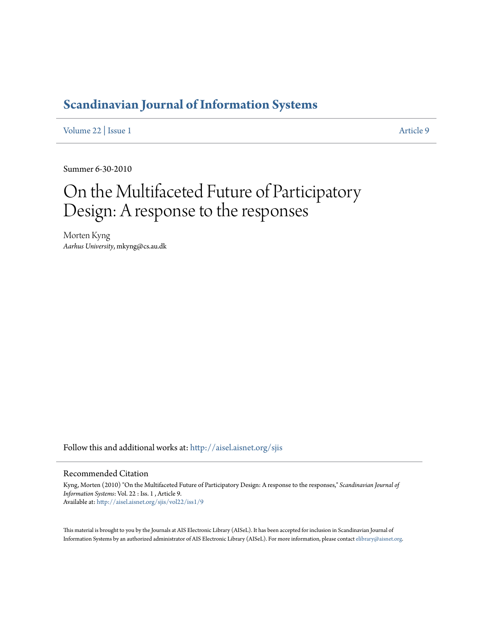# **[Scandinavian Journal of Information Systems](http://aisel.aisnet.org/sjis?utm_source=aisel.aisnet.org%2Fsjis%2Fvol22%2Fiss1%2F9&utm_medium=PDF&utm_campaign=PDFCoverPages)**

[Volume 22](http://aisel.aisnet.org/sjis/vol22?utm_source=aisel.aisnet.org%2Fsjis%2Fvol22%2Fiss1%2F9&utm_medium=PDF&utm_campaign=PDFCoverPages) | [Issue 1](http://aisel.aisnet.org/sjis/vol22/iss1?utm_source=aisel.aisnet.org%2Fsjis%2Fvol22%2Fiss1%2F9&utm_medium=PDF&utm_campaign=PDFCoverPages) [Article 9](http://aisel.aisnet.org/sjis/vol22/iss1/9?utm_source=aisel.aisnet.org%2Fsjis%2Fvol22%2Fiss1%2F9&utm_medium=PDF&utm_campaign=PDFCoverPages)

Summer 6-30-2010

# On the Multifaceted Future of Participatory Design: A response to the responses

Morten Kyng *Aarhus University*, mkyng@cs.au.dk

Follow this and additional works at: [http://aisel.aisnet.org/sjis](http://aisel.aisnet.org/sjis?utm_source=aisel.aisnet.org%2Fsjis%2Fvol22%2Fiss1%2F9&utm_medium=PDF&utm_campaign=PDFCoverPages)

#### Recommended Citation

Kyng, Morten (2010) "On the Multifaceted Future of Participatory Design: A response to the responses," *Scandinavian Journal of Information Systems*: Vol. 22 : Iss. 1 , Article 9. Available at: [http://aisel.aisnet.org/sjis/vol22/iss1/9](http://aisel.aisnet.org/sjis/vol22/iss1/9?utm_source=aisel.aisnet.org%2Fsjis%2Fvol22%2Fiss1%2F9&utm_medium=PDF&utm_campaign=PDFCoverPages)

This material is brought to you by the Journals at AIS Electronic Library (AISeL). It has been accepted for inclusion in Scandinavian Journal of Information Systems by an authorized administrator of AIS Electronic Library (AISeL). For more information, please contact [elibrary@aisnet.org.](mailto:elibrary@aisnet.org%3E)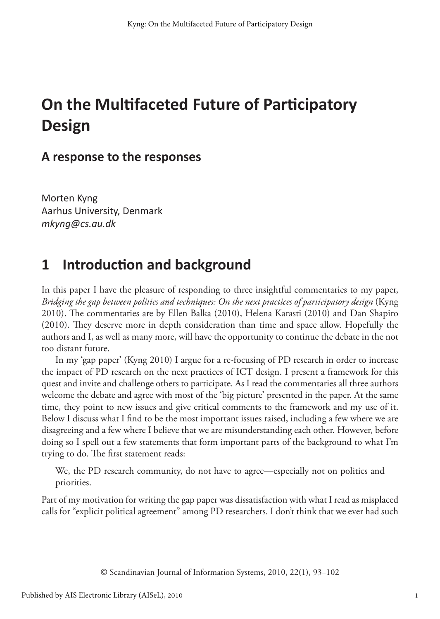# **On the Multifaceted Future of Participatory Design**

#### **A response to the responses**

Morten Kyng Aarhus University, Denmark *mkyng@cs.au.dk*

#### **1 Introduction and background**

In this paper I have the pleasure of responding to three insightful commentaries to my paper, *Bridging the gap between politics and techniques: On the next practices of participatory design* (Kyng 2010). The commentaries are by Ellen Balka (2010), Helena Karasti (2010) and Dan Shapiro (2010). They deserve more in depth consideration than time and space allow. Hopefully the authors and I, as well as many more, will have the opportunity to continue the debate in the not too distant future.

In my 'gap paper' (Kyng 2010) I argue for a re-focusing of PD research in order to increase the impact of PD research on the next practices of ICT design. I present a framework for this quest and invite and challenge others to participate. As I read the commentaries all three authors welcome the debate and agree with most of the 'big picture' presented in the paper. At the same time, they point to new issues and give critical comments to the framework and my use of it. Below I discuss what I find to be the most important issues raised, including a few where we are disagreeing and a few where I believe that we are misunderstanding each other. However, before doing so I spell out a few statements that form important parts of the background to what I'm trying to do. The first statement reads:

We, the PD research community, do not have to agree—especially not on politics and priorities.

Part of my motivation for writing the gap paper was dissatisfaction with what I read as misplaced calls for "explicit political agreement" among PD researchers. I don't think that we ever had such

© Scandinavian Journal of Information Systems, 2010, 22(1), 93–102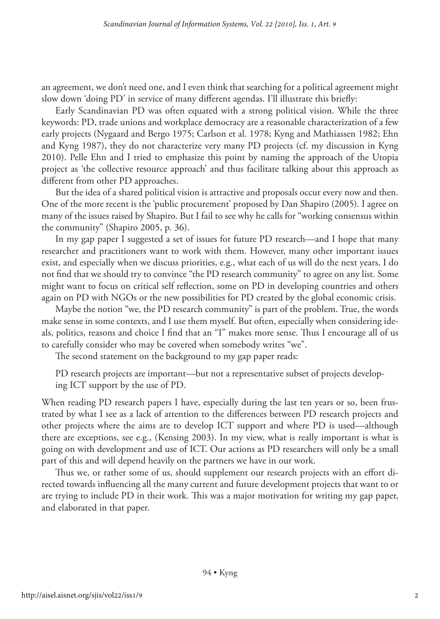an agreement, we don't need one, and I even think that searching for a political agreement might slow down 'doing PD' in service of many different agendas. I'll illustrate this briefly:

Early Scandinavian PD was often equated with a strong political vision. While the three keywords: PD, trade unions and workplace democracy are a reasonable characterization of a few early projects (Nygaard and Bergo 1975; Carlson et al. 1978; Kyng and Mathiassen 1982; Ehn and Kyng 1987), they do not characterize very many PD projects (cf. my discussion in Kyng 2010). Pelle Ehn and I tried to emphasize this point by naming the approach of the Utopia project as 'the collective resource approach' and thus facilitate talking about this approach as different from other PD approaches.

But the idea of a shared political vision is attractive and proposals occur every now and then. One of the more recent is the 'public procurement' proposed by Dan Shapiro (2005). I agree on many of the issues raised by Shapiro. But I fail to see why he calls for "working consensus within the community" (Shapiro 2005, p. 36).

In my gap paper I suggested a set of issues for future PD research—and I hope that many researcher and practitioners want to work with them. However, many other important issues exist, and especially when we discuss priorities, e.g., what each of us will do the next years, I do not find that we should try to convince "the PD research community" to agree on any list. Some might want to focus on critical self reflection, some on PD in developing countries and others again on PD with NGOs or the new possibilities for PD created by the global economic crisis.

Maybe the notion "we, the PD research community" is part of the problem. True, the words make sense in some contexts, and I use them myself. But often, especially when considering ideals, politics, reasons and choice I find that an "I" makes more sense. Thus I encourage all of us to carefully consider who may be covered when somebody writes "we".

The second statement on the background to my gap paper reads:

PD research projects are important—but not a representative subset of projects developing ICT support by the use of PD.

When reading PD research papers I have, especially during the last ten years or so, been frustrated by what I see as a lack of attention to the differences between PD research projects and other projects where the aims are to develop ICT support and where PD is used—although there are exceptions, see e.g., (Kensing 2003). In my view, what is really important is what is going on with development and use of ICT. Our actions as PD researchers will only be a small part of this and will depend heavily on the partners we have in our work.

Thus we, or rather some of us, should supplement our research projects with an effort directed towards influencing all the many current and future development projects that want to or are trying to include PD in their work. This was a major motivation for writing my gap paper, and elaborated in that paper.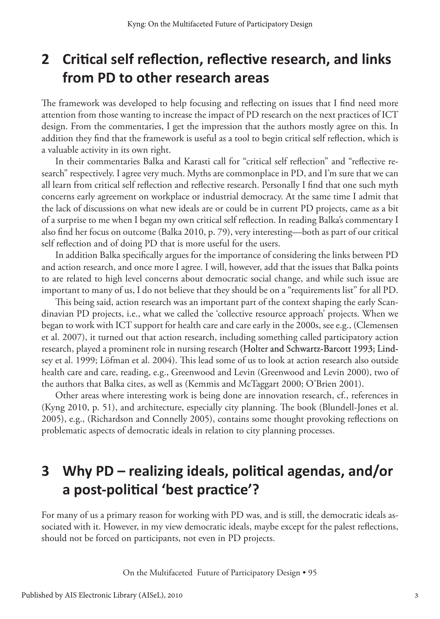### **2 Critical self reflection, reflective research, and links from PD to other research areas**

The framework was developed to help focusing and reflecting on issues that I find need more attention from those wanting to increase the impact of PD research on the next practices of ICT design. From the commentaries, I get the impression that the authors mostly agree on this. In addition they find that the framework is useful as a tool to begin critical self reflection, which is a valuable activity in its own right.

In their commentaries Balka and Karasti call for "critical self reflection" and "reflective research" respectively. I agree very much. Myths are commonplace in PD, and I'm sure that we can all learn from critical self reflection and reflective research. Personally I find that one such myth concerns early agreement on workplace or industrial democracy. At the same time I admit that the lack of discussions on what new ideals are or could be in current PD projects, came as a bit of a surprise to me when I began my own critical self reflection. In reading Balka's commentary I also find her focus on outcome (Balka 2010, p. 79), very interesting—both as part of our critical self reflection and of doing PD that is more useful for the users.

In addition Balka specifically argues for the importance of considering the links between PD and action research, and once more I agree. I will, however, add that the issues that Balka points to are related to high level concerns about democratic social change, and while such issue are important to many of us, I do not believe that they should be on a "requirements list" for all PD.

This being said, action research was an important part of the context shaping the early Scandinavian PD projects, i.e., what we called the 'collective resource approach' projects. When we began to work with ICT support for health care and care early in the 2000s, see e.g., (Clemensen et al. 2007), it turned out that action research, including something called participatory action research, played a prominent role in nursing research (Holter and Schwartz-Barcott 1993; Lindsey et al. 1999; Löfman et al. 2004). This lead some of us to look at action research also outside health care and care, reading, e.g., Greenwood and Levin (Greenwood and Levin 2000), two of the authors that Balka cites, as well as (Kemmis and McTaggart 2000; O'Brien 2001).

Other areas where interesting work is being done are innovation research, cf., references in (Kyng 2010, p. 51), and architecture, especially city planning. The book (Blundell-Jones et al. 2005), e.g., (Richardson and Connelly 2005), contains some thought provoking reflections on problematic aspects of democratic ideals in relation to city planning processes.

# **3 Why PD – realizing ideals, political agendas, and/or a post-political 'best practice'?**

For many of us a primary reason for working with PD was, and is still, the democratic ideals associated with it. However, in my view democratic ideals, maybe except for the palest reflections, should not be forced on participants, not even in PD projects.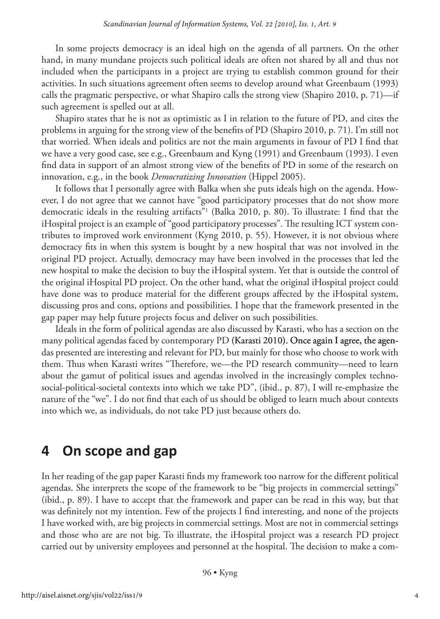In some projects democracy is an ideal high on the agenda of all partners. On the other hand, in many mundane projects such political ideals are often not shared by all and thus not included when the participants in a project are trying to establish common ground for their activities. In such situations agreement often seems to develop around what Greenbaum (1993) calls the pragmatic perspective, or what Shapiro calls the strong view (Shapiro 2010, p. 71)—if such agreement is spelled out at all.

Shapiro states that he is not as optimistic as I in relation to the future of PD, and cites the problems in arguing for the strong view of the benefits of PD (Shapiro 2010, p. 71). I'm still not that worried. When ideals and politics are not the main arguments in favour of PD I find that we have a very good case, see e.g., Greenbaum and Kyng (1991) and Greenbaum (1993). I even find data in support of an almost strong view of the benefits of PD in some of the research on innovation, e.g., in the book *Democratizing Innovation* (Hippel 2005).

It follows that I personally agree with Balka when she puts ideals high on the agenda. However, I do not agree that we cannot have "good participatory processes that do not show more democratic ideals in the resulting artifacts"1 (Balka 2010, p. 80). To illustrate: I find that the iHospital project is an example of "good participatory processes". The resulting ICT system contributes to improved work environment (Kyng 2010, p. 55). However, it is not obvious where democracy fits in when this system is bought by a new hospital that was not involved in the original PD project. Actually, democracy may have been involved in the processes that led the new hospital to make the decision to buy the iHospital system. Yet that is outside the control of the original iHospital PD project. On the other hand, what the original iHospital project could have done was to produce material for the different groups affected by the iHospital system, discussing pros and cons, options and possibilities. I hope that the framework presented in the gap paper may help future projects focus and deliver on such possibilities.

Ideals in the form of political agendas are also discussed by Karasti, who has a section on the many political agendas faced by contemporary PD (Karasti 2010). Once again I agree, the agendas presented are interesting and relevant for PD, but mainly for those who choose to work with them. Thus when Karasti writes "Therefore, we—the PD research community—need to learn about the gamut of political issues and agendas involved in the increasingly complex technosocial-political-societal contexts into which we take PD", (ibid., p. 87), I will re-emphasize the nature of the "we". I do not find that each of us should be obliged to learn much about contexts into which we, as individuals, do not take PD just because others do.

#### **4 On scope and gap**

In her reading of the gap paper Karasti finds my framework too narrow for the different political agendas. She interprets the scope of the framework to be "big projects in commercial settings" (ibid., p. 89). I have to accept that the framework and paper can be read in this way, but that was definitely not my intention. Few of the projects I find interesting, and none of the projects I have worked with, are big projects in commercial settings. Most are not in commercial settings and those who are are not big. To illustrate, the iHospital project was a research PD project carried out by university employees and personnel at the hospital. The decision to make a com-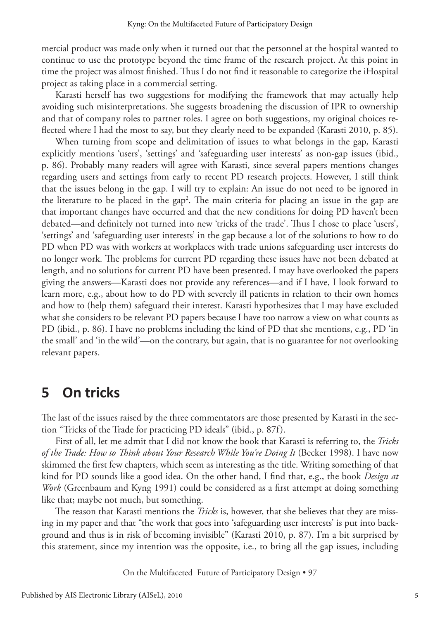mercial product was made only when it turned out that the personnel at the hospital wanted to continue to use the prototype beyond the time frame of the research project. At this point in time the project was almost finished. Thus I do not find it reasonable to categorize the iHospital project as taking place in a commercial setting.

Karasti herself has two suggestions for modifying the framework that may actually help avoiding such misinterpretations. She suggests broadening the discussion of IPR to ownership and that of company roles to partner roles. I agree on both suggestions, my original choices reflected where I had the most to say, but they clearly need to be expanded (Karasti 2010, p. 85).

When turning from scope and delimitation of issues to what belongs in the gap, Karasti explicitly mentions 'users', 'settings' and 'safeguarding user interests' as non-gap issues (ibid., p. 86). Probably many readers will agree with Karasti, since several papers mentions changes regarding users and settings from early to recent PD research projects. However, I still think that the issues belong in the gap. I will try to explain: An issue do not need to be ignored in the literature to be placed in the gap2 . The main criteria for placing an issue in the gap are that important changes have occurred and that the new conditions for doing PD haven't been debated—and definitely not turned into new 'tricks of the trade'. Thus I chose to place 'users', 'settings' and 'safeguarding user interests' in the gap because a lot of the solutions to how to do PD when PD was with workers at workplaces with trade unions safeguarding user interests do no longer work. The problems for current PD regarding these issues have not been debated at length, and no solutions for current PD have been presented. I may have overlooked the papers giving the answers—Karasti does not provide any references—and if I have, I look forward to learn more, e.g., about how to do PD with severely ill patients in relation to their own homes and how to (help them) safeguard their interest. Karasti hypothesizes that I may have excluded what she considers to be relevant PD papers because I have too narrow a view on what counts as PD (ibid., p. 86). I have no problems including the kind of PD that she mentions, e.g., PD 'in the small' and 'in the wild'—on the contrary, but again, that is no guarantee for not overlooking relevant papers.

#### **5 On tricks**

The last of the issues raised by the three commentators are those presented by Karasti in the section "Tricks of the Trade for practicing PD ideals" (ibid., p. 87f).

First of all, let me admit that I did not know the book that Karasti is referring to, the *Tricks of the Trade: How to Think about Your Research While You're Doing It* (Becker 1998). I have now skimmed the first few chapters, which seem as interesting as the title. Writing something of that kind for PD sounds like a good idea. On the other hand, I find that, e.g., the book *Design at Work* (Greenbaum and Kyng 1991) could be considered as a first attempt at doing something like that; maybe not much, but something.

The reason that Karasti mentions the *Tricks* is, however, that she believes that they are missing in my paper and that "the work that goes into 'safeguarding user interests' is put into background and thus is in risk of becoming invisible" (Karasti 2010, p. 87). I'm a bit surprised by this statement, since my intention was the opposite, i.e., to bring all the gap issues, including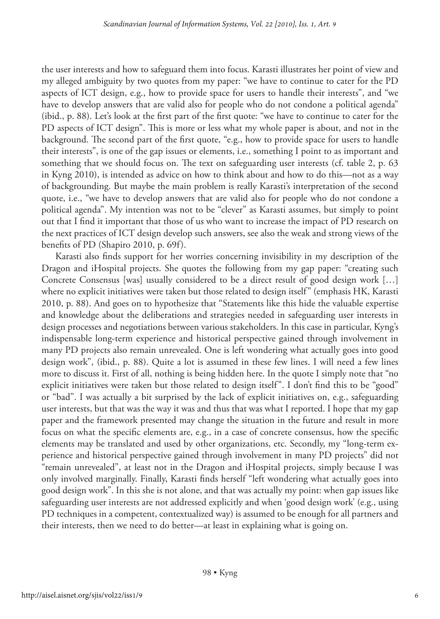the user interests and how to safeguard them into focus. Karasti illustrates her point of view and my alleged ambiguity by two quotes from my paper: "we have to continue to cater for the PD aspects of ICT design, e.g., how to provide space for users to handle their interests", and "we have to develop answers that are valid also for people who do not condone a political agenda" (ibid., p. 88). Let's look at the first part of the first quote: "we have to continue to cater for the PD aspects of ICT design". This is more or less what my whole paper is about, and not in the background. The second part of the first quote, "e.g., how to provide space for users to handle their interests", is one of the gap issues or elements, i.e., something I point to as important and something that we should focus on. The text on safeguarding user interests (cf. table 2, p. 63 in Kyng 2010), is intended as advice on how to think about and how to do this—not as a way of backgrounding. But maybe the main problem is really Karasti's interpretation of the second quote, i.e., "we have to develop answers that are valid also for people who do not condone a political agenda". My intention was not to be "clever" as Karasti assumes, but simply to point out that I find it important that those of us who want to increase the impact of PD research on the next practices of ICT design develop such answers, see also the weak and strong views of the benefits of PD (Shapiro 2010, p. 69f).

Karasti also finds support for her worries concerning invisibility in my description of the Dragon and iHospital projects. She quotes the following from my gap paper: "creating such Concrete Consensus [was] usually considered to be a direct result of good design work […] where no explicit initiatives were taken but those related to design itself" (emphasis HK, Karasti 2010, p. 88). And goes on to hypothesize that "Statements like this hide the valuable expertise and knowledge about the deliberations and strategies needed in safeguarding user interests in design processes and negotiations between various stakeholders. In this case in particular, Kyng's indispensable long-term experience and historical perspective gained through involvement in many PD projects also remain unrevealed. One is left wondering what actually goes into good design work", (ibid., p. 88). Quite a lot is assumed in these few lines. I will need a few lines more to discuss it. First of all, nothing is being hidden here. In the quote I simply note that "no explicit initiatives were taken but those related to design itself". I don't find this to be "good" or "bad". I was actually a bit surprised by the lack of explicit initiatives on, e.g., safeguarding user interests, but that was the way it was and thus that was what I reported. I hope that my gap paper and the framework presented may change the situation in the future and result in more focus on what the specific elements are, e.g., in a case of concrete consensus, how the specific elements may be translated and used by other organizations, etc. Secondly, my "long-term experience and historical perspective gained through involvement in many PD projects" did not "remain unrevealed", at least not in the Dragon and iHospital projects, simply because I was only involved marginally. Finally, Karasti finds herself "left wondering what actually goes into good design work". In this she is not alone, and that was actually my point: when gap issues like safeguarding user interests are not addressed explicitly and when 'good design work' (e.g., using PD techniques in a competent, contextualized way) is assumed to be enough for all partners and their interests, then we need to do better—at least in explaining what is going on.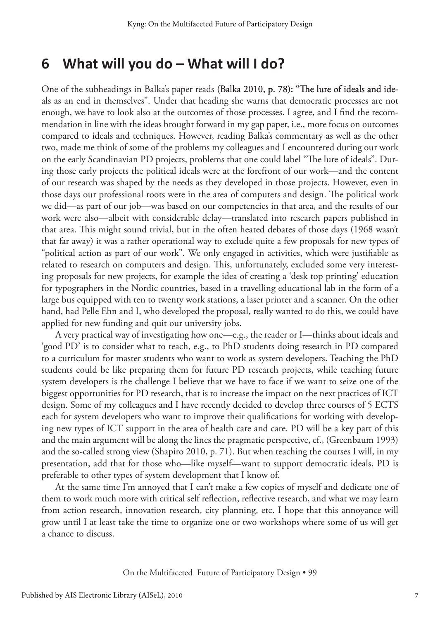#### **6 What will you do – What will I do?**

One of the subheadings in Balka's paper reads (Balka 2010, p. 78): "The lure of ideals and ideals as an end in themselves". Under that heading she warns that democratic processes are not enough, we have to look also at the outcomes of those processes. I agree, and I find the recommendation in line with the ideas brought forward in my gap paper, i.e., more focus on outcomes compared to ideals and techniques. However, reading Balka's commentary as well as the other two, made me think of some of the problems my colleagues and I encountered during our work on the early Scandinavian PD projects, problems that one could label "The lure of ideals". During those early projects the political ideals were at the forefront of our work—and the content of our research was shaped by the needs as they developed in those projects. However, even in those days our professional roots were in the area of computers and design. The political work we did—as part of our job—was based on our competencies in that area, and the results of our work were also—albeit with considerable delay—translated into research papers published in that area. This might sound trivial, but in the often heated debates of those days (1968 wasn't that far away) it was a rather operational way to exclude quite a few proposals for new types of "political action as part of our work". We only engaged in activities, which were justifiable as related to research on computers and design. This, unfortunately, excluded some very interesting proposals for new projects, for example the idea of creating a 'desk top printing' education for typographers in the Nordic countries, based in a travelling educational lab in the form of a large bus equipped with ten to twenty work stations, a laser printer and a scanner. On the other hand, had Pelle Ehn and I, who developed the proposal, really wanted to do this, we could have applied for new funding and quit our university jobs.

A very practical way of investigating how one—e.g., the reader or I—thinks about ideals and 'good PD' is to consider what to teach, e.g., to PhD students doing research in PD compared to a curriculum for master students who want to work as system developers. Teaching the PhD students could be like preparing them for future PD research projects, while teaching future system developers is the challenge I believe that we have to face if we want to seize one of the biggest opportunities for PD research, that is to increase the impact on the next practices of ICT design. Some of my colleagues and I have recently decided to develop three courses of 5 ECTS each for system developers who want to improve their qualifications for working with developing new types of ICT support in the area of health care and care. PD will be a key part of this and the main argument will be along the lines the pragmatic perspective, cf., (Greenbaum 1993) and the so-called strong view (Shapiro 2010, p. 71). But when teaching the courses I will, in my presentation, add that for those who—like myself—want to support democratic ideals, PD is preferable to other types of system development that I know of.

At the same time I'm annoyed that I can't make a few copies of myself and dedicate one of them to work much more with critical self reflection, reflective research, and what we may learn from action research, innovation research, city planning, etc. I hope that this annoyance will grow until I at least take the time to organize one or two workshops where some of us will get a chance to discuss.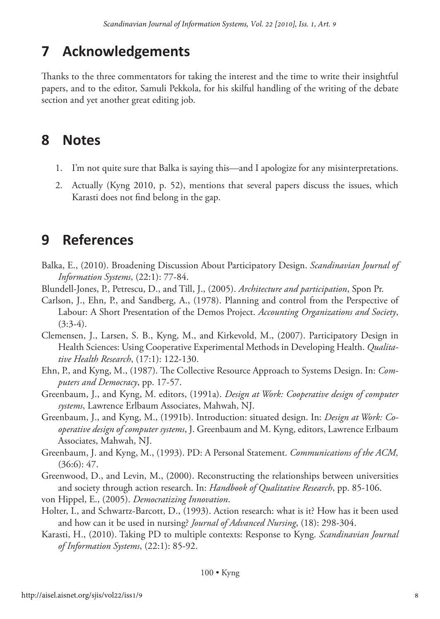# **7 Acknowledgements**

Thanks to the three commentators for taking the interest and the time to write their insightful papers, and to the editor, Samuli Pekkola, for his skilful handling of the writing of the debate section and yet another great editing job.

### **8 Notes**

- 1. I'm not quite sure that Balka is saying this—and I apologize for any misinterpretations.
- 2. Actually (Kyng 2010, p. 52), mentions that several papers discuss the issues, which Karasti does not find belong in the gap.

## **9 References**

- Balka, E., (2010). Broadening Discussion About Participatory Design. *Scandinavian Journal of Information Systems*, (22:1): 77-84.
- Blundell-Jones, P., Petrescu, D., and Till, J., (2005). *Architecture and participation*, Spon Pr.
- Carlson, J., Ehn, P., and Sandberg, A., (1978). Planning and control from the Perspective of Labour: A Short Presentation of the Demos Project. *Accounting Organizations and Society*,  $(3:3-4)$ .
- Clemensen, J., Larsen, S. B., Kyng, M., and Kirkevold, M., (2007). Participatory Design in Health Sciences: Using Cooperative Experimental Methods in Developing Health. *Qualitative Health Research*, (17:1): 122-130.
- Ehn, P., and Kyng, M., (1987). The Collective Resource Approach to Systems Design. In: *Computers and Democracy*, pp. 17-57.
- Greenbaum, J., and Kyng, M. editors, (1991a). *Design at Work: Cooperative design of computer systems*, Lawrence Erlbaum Associates, Mahwah, NJ.
- Greenbaum, J., and Kyng, M., (1991b). Introduction: situated design. In: *Design at Work: Cooperative design of computer systems*, J. Greenbaum and M. Kyng, editors, Lawrence Erlbaum Associates, Mahwah, NJ.
- Greenbaum, J. and Kyng, M., (1993). PD: A Personal Statement. *Communications of the ACM,*  $(36:6): 47.$
- Greenwood, D., and Levin, M., (2000). Reconstructing the relationships between universities and society through action research. In: *Handbook of Qualitative Research*, pp. 85-106.
- von Hippel, E., (2005). *Democratizing Innovation*.
- Holter, I., and Schwartz-Barcott, D., (1993). Action research: what is it? How has it been used and how can it be used in nursing? *Journal of Advanced Nursing*, (18): 298-304.
- Karasti, H., (2010). Taking PD to multiple contexts: Response to Kyng. *Scandinavian Journal of Information Systems*, (22:1): 85-92.